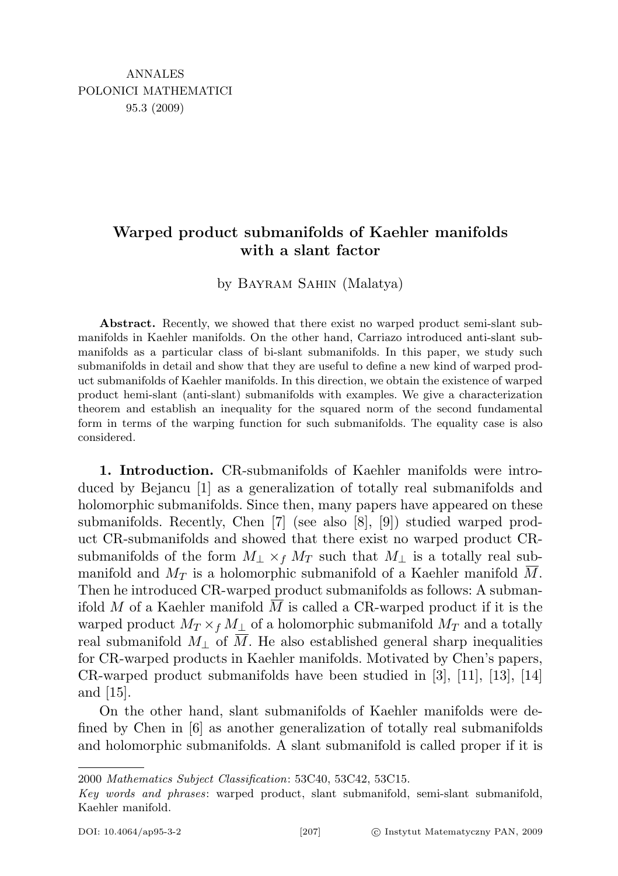# Warped product submanifolds of Kaehler manifolds with a slant factor

by Bayram Sahin (Malatya)

Abstract. Recently, we showed that there exist no warped product semi-slant submanifolds in Kaehler manifolds. On the other hand, Carriazo introduced anti-slant submanifolds as a particular class of bi-slant submanifolds. In this paper, we study such submanifolds in detail and show that they are useful to define a new kind of warped product submanifolds of Kaehler manifolds. In this direction, we obtain the existence of warped product hemi-slant (anti-slant) submanifolds with examples. We give a characterization theorem and establish an inequality for the squared norm of the second fundamental form in terms of the warping function for such submanifolds. The equality case is also considered.

1. Introduction. CR-submanifolds of Kaehler manifolds were introduced by Bejancu [1] as a generalization of totally real submanifolds and holomorphic submanifolds. Since then, many papers have appeared on these submanifolds. Recently, Chen [7] (see also [8], [9]) studied warped product CR-submanifolds and showed that there exist no warped product CRsubmanifolds of the form  $M_{\perp} \times_f M_T$  such that  $M_{\perp}$  is a totally real submanifold and  $M_T$  is a holomorphic submanifold of a Kaehler manifold M. Then he introduced CR-warped product submanifolds as follows: A submanifold M of a Kaehler manifold M is called a CR-warped product if it is the warped product  $M_T \times_f M_\perp$  of a holomorphic submanifold  $M_T$  and a totally real submanifold  $M_{\perp}$  of M. He also established general sharp inequalities for CR-warped products in Kaehler manifolds. Motivated by Chen's papers, CR-warped product submanifolds have been studied in [3], [11], [13], [14] and [15].

On the other hand, slant submanifolds of Kaehler manifolds were defined by Chen in [6] as another generalization of totally real submanifolds and holomorphic submanifolds. A slant submanifold is called proper if it is

2000 Mathematics Subject Classification: 53C40, 53C42, 53C15.

Key words and phrases: warped product, slant submanifold, semi-slant submanifold, Kaehler manifold.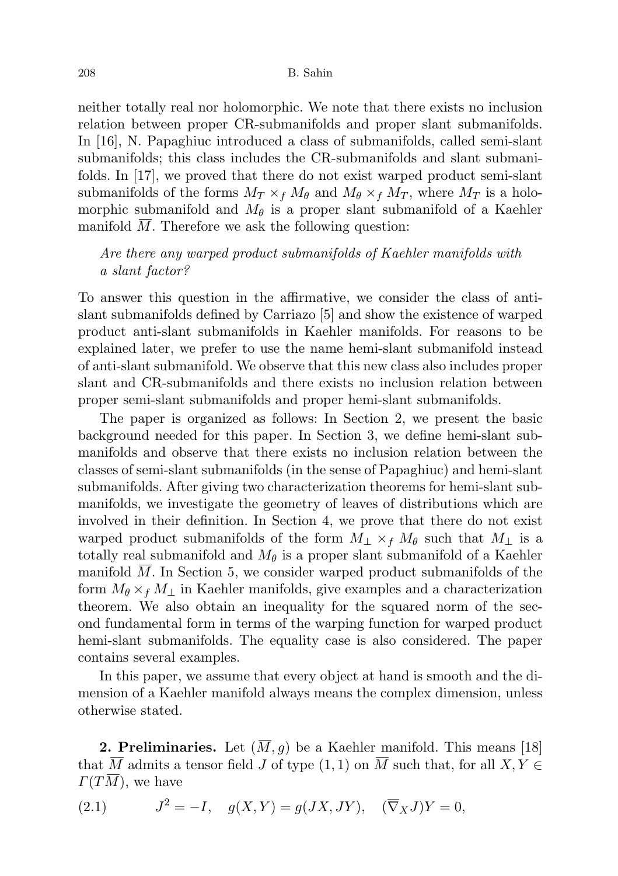neither totally real nor holomorphic. We note that there exists no inclusion relation between proper CR-submanifolds and proper slant submanifolds. In [16], N. Papaghiuc introduced a class of submanifolds, called semi-slant submanifolds; this class includes the CR-submanifolds and slant submanifolds. In [17], we proved that there do not exist warped product semi-slant submanifolds of the forms  $M_T \times_f M_\theta$  and  $M_\theta \times_f M_T$ , where  $M_T$  is a holomorphic submanifold and  $M_{\theta}$  is a proper slant submanifold of a Kaehler manifold  $M$ . Therefore we ask the following question:

## Are there any warped product submanifolds of Kaehler manifolds with a slant factor?

To answer this question in the affirmative, we consider the class of antislant submanifolds defined by Carriazo [5] and show the existence of warped product anti-slant submanifolds in Kaehler manifolds. For reasons to be explained later, we prefer to use the name hemi-slant submanifold instead of anti-slant submanifold. We observe that this new class also includes proper slant and CR-submanifolds and there exists no inclusion relation between proper semi-slant submanifolds and proper hemi-slant submanifolds.

The paper is organized as follows: In Section 2, we present the basic background needed for this paper. In Section 3, we define hemi-slant submanifolds and observe that there exists no inclusion relation between the classes of semi-slant submanifolds (in the sense of Papaghiuc) and hemi-slant submanifolds. After giving two characterization theorems for hemi-slant submanifolds, we investigate the geometry of leaves of distributions which are involved in their definition. In Section 4, we prove that there do not exist warped product submanifolds of the form  $M_\perp \times_f M_\theta$  such that  $M_\perp$  is a totally real submanifold and  $M_{\theta}$  is a proper slant submanifold of a Kaehler manifold  $M$ . In Section 5, we consider warped product submanifolds of the form  $M_{\theta} \times_f M_{\perp}$  in Kaehler manifolds, give examples and a characterization theorem. We also obtain an inequality for the squared norm of the second fundamental form in terms of the warping function for warped product hemi-slant submanifolds. The equality case is also considered. The paper contains several examples.

In this paper, we assume that every object at hand is smooth and the dimension of a Kaehler manifold always means the complex dimension, unless otherwise stated.

**2. Preliminaries.** Let  $(\overline{M}, g)$  be a Kaehler manifold. This means [18] that  $\overline{M}$  admits a tensor field J of type  $(1,1)$  on  $\overline{M}$  such that, for all  $X, Y \in$  $\Gamma(T\overline{M})$ , we have

(2.1) 
$$
J^2 = -I, \quad g(X, Y) = g(JX, JY), \quad (\overline{\nabla}_X J)Y = 0,
$$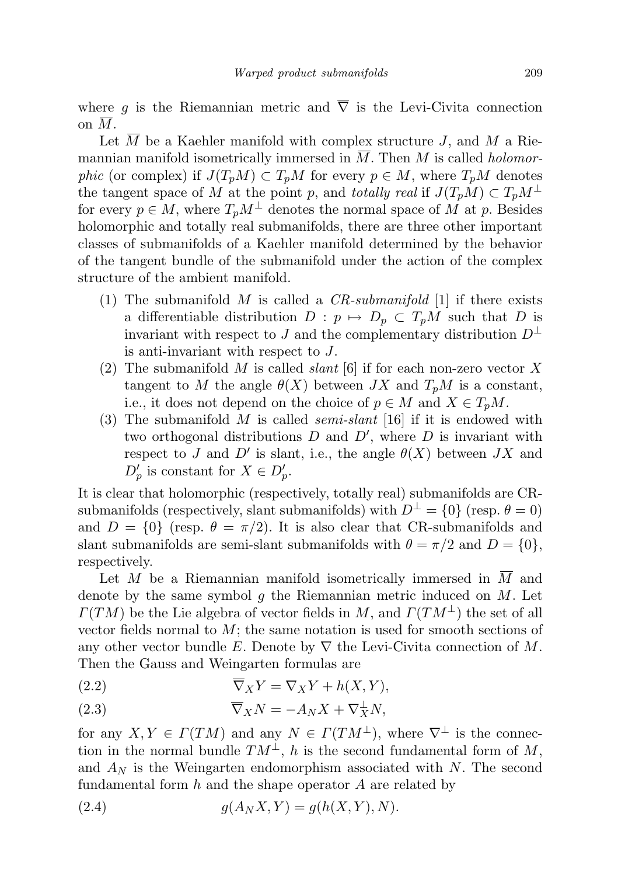where g is the Riemannian metric and  $\overline{\nabla}$  is the Levi-Civita connection on  $\overline{M}$ .

Let  $\overline{M}$  be a Kaehler manifold with complex structure J, and  $\overline{M}$  a Riemannian manifold isometrically immersed in  $\overline{M}$ . Then M is called *holomor*phic (or complex) if  $J(T_pM) \subset T_pM$  for every  $p \in M$ , where  $T_pM$  denotes the tangent space of M at the point p, and totally real if  $J(T_pM) \subset T_pM^{\perp}$ for every  $p \in M$ , where  $T_pM^{\perp}$  denotes the normal space of M at p. Besides holomorphic and totally real submanifolds, there are three other important classes of submanifolds of a Kaehler manifold determined by the behavior of the tangent bundle of the submanifold under the action of the complex structure of the ambient manifold.

- (1) The submanifold M is called a  $CR\text{-}submanifold$  [1] if there exists a differentiable distribution  $D : p \mapsto D_p \subset T_pM$  such that D is invariant with respect to J and the complementary distribution  $D^{\perp}$ is anti-invariant with respect to J.
- (2) The submanifold M is called *slant* [6] if for each non-zero vector X tangent to M the angle  $\theta(X)$  between JX and  $T_pM$  is a constant, i.e., it does not depend on the choice of  $p \in M$  and  $X \in T_pM$ .
- (3) The submanifold M is called *semi-slant* [16] if it is endowed with two orthogonal distributions  $D$  and  $D'$ , where  $D$  is invariant with respect to J and D' is slant, i.e., the angle  $\theta(X)$  between JX and  $D'_p$  is constant for  $X \in D'_p$ .

It is clear that holomorphic (respectively, totally real) submanifolds are CRsubmanifolds (respectively, slant submanifolds) with  $D^{\perp} = \{0\}$  (resp.  $\theta = 0$ ) and  $D = \{0\}$  (resp.  $\theta = \pi/2$ ). It is also clear that CR-submanifolds and slant submanifolds are semi-slant submanifolds with  $\theta = \pi/2$  and  $D = \{0\},\$ respectively.

Let M be a Riemannian manifold isometrically immersed in  $\overline{M}$  and denote by the same symbol  $q$  the Riemannian metric induced on  $M$ . Let  $\Gamma(TM)$  be the Lie algebra of vector fields in M, and  $\Gamma(TM^{\perp})$  the set of all vector fields normal to  $M$ ; the same notation is used for smooth sections of any other vector bundle E. Denote by  $\nabla$  the Levi-Civita connection of M. Then the Gauss and Weingarten formulas are

(2.2) 
$$
\overline{\nabla}_X Y = \nabla_X Y + h(X, Y),
$$

(2.3) 
$$
\overline{\nabla}_X N = -A_N X + \nabla_X^{\perp} N,
$$

for any  $X, Y \in \Gamma(TM)$  and any  $N \in \Gamma(TM^{\perp})$ , where  $\nabla^{\perp}$  is the connection in the normal bundle  $TM^{\perp}$ , h is the second fundamental form of M, and  $A_N$  is the Weingarten endomorphism associated with N. The second fundamental form  $h$  and the shape operator  $A$  are related by

(2.4) 
$$
g(A_N X, Y) = g(h(X, Y), N).
$$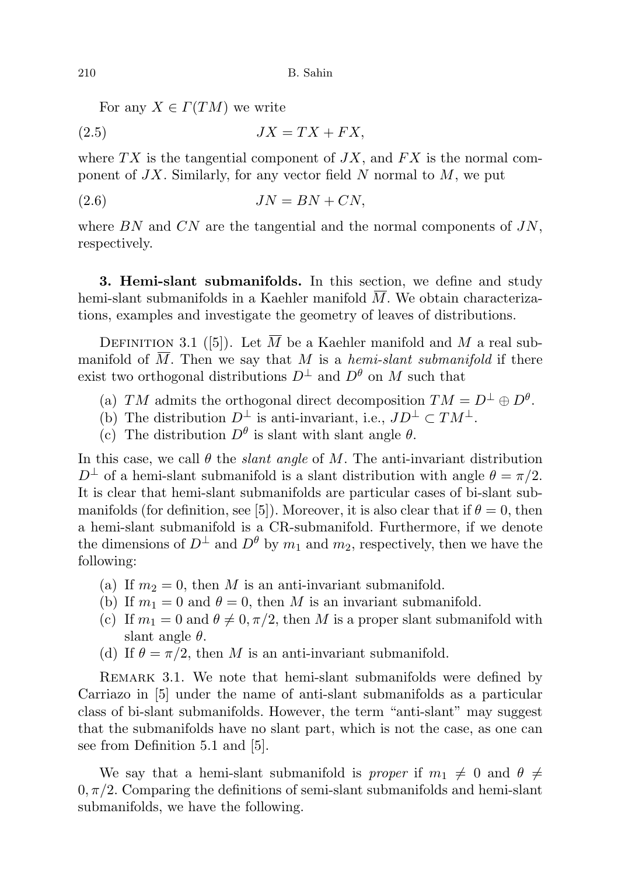For any  $X \in \Gamma(TM)$  we write

$$
(2.5) \t\t JX = TX + FX,
$$

where  $TX$  is the tangential component of  $JX$ , and  $FX$  is the normal component of  $JX$ . Similarly, for any vector field N normal to  $M$ , we put

$$
(2.6) \t\t JN = BN + CN,
$$

where  $BN$  and  $CN$  are the tangential and the normal components of  $JN$ , respectively.

3. Hemi-slant submanifolds. In this section, we define and study hemi-slant submanifolds in a Kaehler manifold  $\overline{M}$ . We obtain characterizations, examples and investigate the geometry of leaves of distributions.

DEFINITION 3.1 ([5]). Let  $\overline{M}$  be a Kaehler manifold and M a real submanifold of  $\overline{M}$ . Then we say that M is a hemi-slant submanifold if there exist two orthogonal distributions  $D^{\perp}$  and  $D^{\theta}$  on M such that

- (a) TM admits the orthogonal direct decomposition  $TM = D^{\perp} \oplus D^{\theta}$ .
- (b) The distribution  $D^{\perp}$  is anti-invariant, i.e.,  $JD^{\perp} \subset TM^{\perp}$ .
- (c) The distribution  $D^{\theta}$  is slant with slant angle  $\theta$ .

In this case, we call  $\theta$  the *slant angle* of M. The anti-invariant distribution  $D^{\perp}$  of a hemi-slant submanifold is a slant distribution with angle  $\theta = \pi/2$ . It is clear that hemi-slant submanifolds are particular cases of bi-slant submanifolds (for definition, see [5]). Moreover, it is also clear that if  $\theta = 0$ , then a hemi-slant submanifold is a CR-submanifold. Furthermore, if we denote the dimensions of  $D^{\perp}$  and  $D^{\theta}$  by  $m_1$  and  $m_2$ , respectively, then we have the following:

- (a) If  $m_2 = 0$ , then M is an anti-invariant submanifold.
- (b) If  $m_1 = 0$  and  $\theta = 0$ , then M is an invariant submanifold.
- (c) If  $m_1 = 0$  and  $\theta \neq 0, \pi/2$ , then M is a proper slant submanifold with slant angle  $\theta$ .
- (d) If  $\theta = \pi/2$ , then M is an anti-invariant submanifold.

REMARK 3.1. We note that hemi-slant submanifolds were defined by Carriazo in [5] under the name of anti-slant submanifolds as a particular class of bi-slant submanifolds. However, the term "anti-slant" may suggest that the submanifolds have no slant part, which is not the case, as one can see from Definition 5.1 and [5].

We say that a hemi-slant submanifold is proper if  $m_1 \neq 0$  and  $\theta \neq$  $0, \pi/2$ . Comparing the definitions of semi-slant submanifolds and hemi-slant submanifolds, we have the following.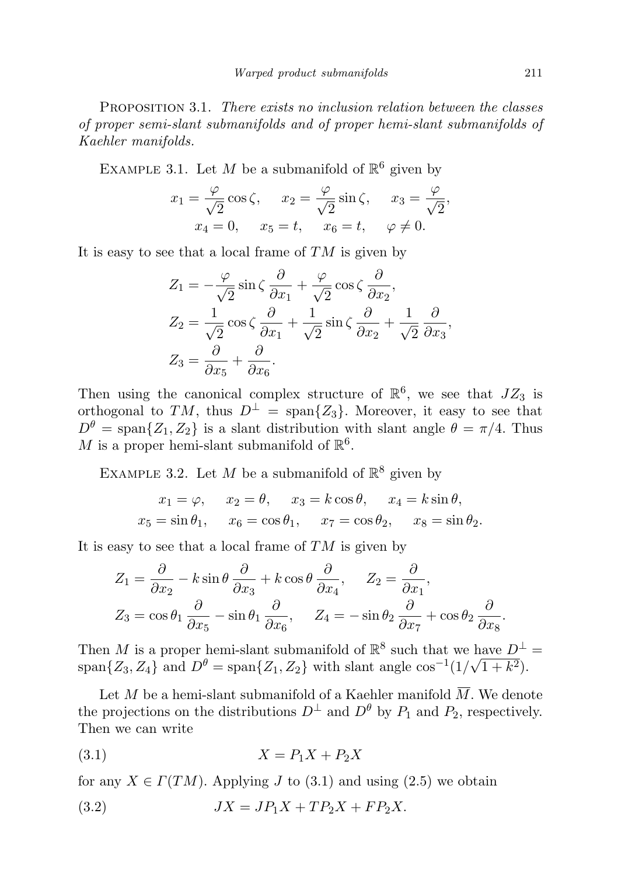PROPOSITION 3.1. There exists no inclusion relation between the classes of proper semi-slant submanifolds and of proper hemi-slant submanifolds of Kaehler manifolds.

EXAMPLE 3.1. Let M be a submanifold of  $\mathbb{R}^6$  given by

$$
x_1 = \frac{\varphi}{\sqrt{2}} \cos \zeta, \quad x_2 = \frac{\varphi}{\sqrt{2}} \sin \zeta, \quad x_3 = \frac{\varphi}{\sqrt{2}},
$$
  

$$
x_4 = 0, \quad x_5 = t, \quad x_6 = t, \quad \varphi \neq 0.
$$

It is easy to see that a local frame of  $TM$  is given by

$$
Z_1 = -\frac{\varphi}{\sqrt{2}} \sin \zeta \frac{\partial}{\partial x_1} + \frac{\varphi}{\sqrt{2}} \cos \zeta \frac{\partial}{\partial x_2},
$$
  
\n
$$
Z_2 = \frac{1}{\sqrt{2}} \cos \zeta \frac{\partial}{\partial x_1} + \frac{1}{\sqrt{2}} \sin \zeta \frac{\partial}{\partial x_2} + \frac{1}{\sqrt{2}} \frac{\partial}{\partial x_3},
$$
  
\n
$$
Z_3 = \frac{\partial}{\partial x_5} + \frac{\partial}{\partial x_6}.
$$

Then using the canonical complex structure of  $\mathbb{R}^6$ , we see that  $JZ_3$  is orthogonal to TM, thus  $D^{\perp}$  = span $\{Z_3\}$ . Moreover, it easy to see that  $D^{\theta} = \text{span}\{Z_1, Z_2\}$  is a slant distribution with slant angle  $\theta = \pi/4$ . Thus M is a proper hemi-slant submanifold of  $\mathbb{R}^6$ .

EXAMPLE 3.2. Let M be a submanifold of  $\mathbb{R}^8$  given by

$$
x_1 = \varphi
$$
,  $x_2 = \theta$ ,  $x_3 = k \cos \theta$ ,  $x_4 = k \sin \theta$ ,  
\n $x_5 = \sin \theta_1$ ,  $x_6 = \cos \theta_1$ ,  $x_7 = \cos \theta_2$ ,  $x_8 = \sin \theta_2$ .

It is easy to see that a local frame of  $TM$  is given by

$$
Z_1 = \frac{\partial}{\partial x_2} - k \sin \theta \frac{\partial}{\partial x_3} + k \cos \theta \frac{\partial}{\partial x_4}, \quad Z_2 = \frac{\partial}{\partial x_1},
$$
  

$$
Z_3 = \cos \theta_1 \frac{\partial}{\partial x_5} - \sin \theta_1 \frac{\partial}{\partial x_6}, \quad Z_4 = -\sin \theta_2 \frac{\partial}{\partial x_7} + \cos \theta_2 \frac{\partial}{\partial x_8}.
$$

Then M is a proper hemi-slant submanifold of  $\mathbb{R}^8$  such that we have  $D^{\perp}$  = span $\{Z_3, Z_4\}$  and  $D^{\theta} = \text{span}\{Z_1, Z_2\}$  with slant angle  $\cos^{-1}(1/\sqrt{1+k^2})$ .

Let M be a hemi-slant submanifold of a Kaehler manifold  $\overline{M}$ . We denote the projections on the distributions  $D^{\perp}$  and  $D^{\theta}$  by  $P_1$  and  $P_2$ , respectively. Then we can write

$$
(3.1)\t\t\t X = P_1 X + P_2 X
$$

for any  $X \in \Gamma(TM)$ . Applying J to (3.1) and using (2.5) we obtain

(3.2) 
$$
JX = JP_1X + TP_2X + FP_2X.
$$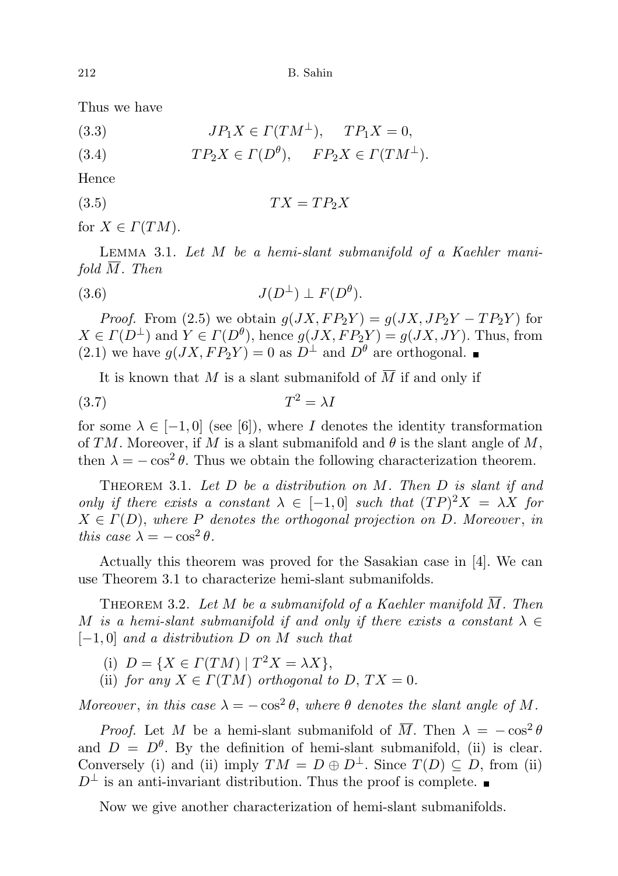Thus we have

(3.3) 
$$
JP_1X \in \Gamma(TM^{\perp}), \quad TP_1X = 0,
$$

(3.4) 
$$
TP_2X \in \Gamma(D^{\theta}), \quad FP_2X \in \Gamma(TM^{\perp}).
$$

Hence

$$
(3.5) \t\t TX = TP_2X
$$

for  $X \in \Gamma(TM)$ .

Lemma 3.1. Let M be a hemi-slant submanifold of a Kaehler manifold  $\overline{M}$ . Then

(3.6) 
$$
J(D^{\perp}) \perp F(D^{\theta}).
$$

*Proof.* From (2.5) we obtain  $g(JX, FP_2Y) = g(JX, JP_2Y - TP_2Y)$  for  $X \in \Gamma(D^{\perp})$  and  $Y \in \Gamma(D^{\theta})$ , hence  $g(JX, FP_2Y) = g(JX, JY)$ . Thus, from (2.1) we have  $q(JX, FP_2Y) = 0$  as  $D^{\perp}$  and  $D^{\theta}$  are orthogonal.

It is known that M is a slant submanifold of  $\overline{M}$  if and only if

$$
(3.7) \t\t T^2 = \lambda I
$$

for some  $\lambda \in [-1,0]$  (see [6]), where I denotes the identity transformation of TM. Moreover, if M is a slant submanifold and  $\theta$  is the slant angle of M, then  $\lambda = -\cos^2 \theta$ . Thus we obtain the following characterization theorem.

THEOREM 3.1. Let  $D$  be a distribution on  $M$ . Then  $D$  is slant if and only if there exists a constant  $\lambda \in [-1,0]$  such that  $(TP)^2X = \lambda X$  for  $X \in \Gamma(D)$ , where P denotes the orthogonal projection on D. Moreover, in this case  $\lambda = -\cos^2 \theta$ .

Actually this theorem was proved for the Sasakian case in [4]. We can use Theorem 3.1 to characterize hemi-slant submanifolds.

THEOREM 3.2. Let  $M$  be a submanifold of a Kaehler manifold  $M$ . Then M is a hemi-slant submanifold if and only if there exists a constant  $\lambda \in$  $[-1, 0]$  and a distribution D on M such that

- (i)  $D = \{X \in \Gamma(TM) | T^2 X = \lambda X\},\$
- (ii) for any  $X \in \Gamma(TM)$  orthogonal to D,  $TX = 0$ .

Moreover, in this case  $\lambda = -\cos^2 \theta$ , where  $\theta$  denotes the slant angle of M.

*Proof.* Let M be a hemi-slant submanifold of  $\overline{M}$ . Then  $\lambda = -\cos^2 \theta$ and  $D = D^{\theta}$ . By the definition of hemi-slant submanifold, (ii) is clear. Conversely (i) and (ii) imply  $TM = D \oplus D^{\perp}$ . Since  $T(D) \subseteq D$ , from (ii)  $D^{\perp}$  is an anti-invariant distribution. Thus the proof is complete. ■

Now we give another characterization of hemi-slant submanifolds.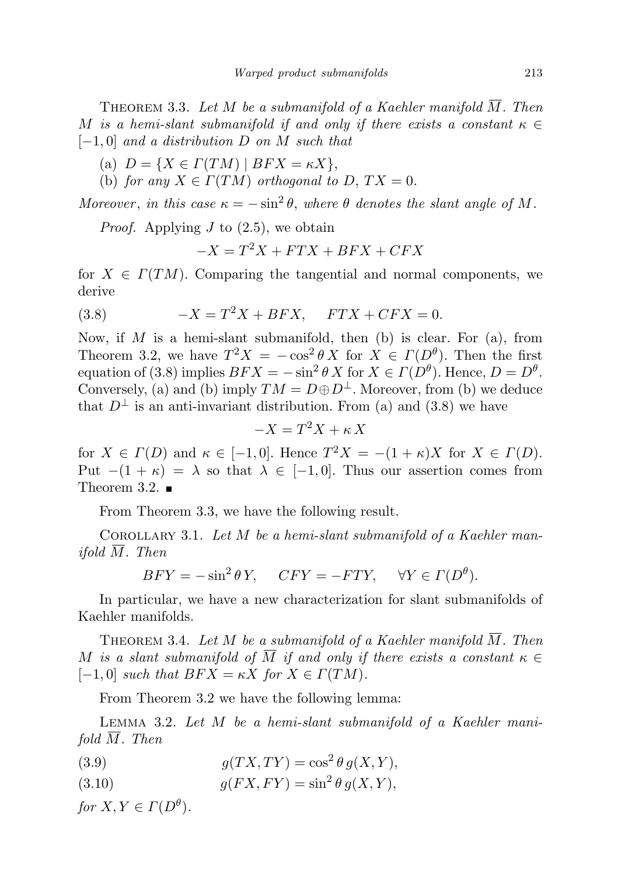THEOREM 3.3. Let  $M$  be a submanifold of a Kaehler manifold  $M$ . Then M is a hemi-slant submanifold if and only if there exists a constant  $\kappa \in$  $[-1, 0]$  and a distribution D on M such that

- (a)  $D = \{X \in \Gamma(TM) \mid BFX = \kappa X\},\$
- (b) for any  $X \in \Gamma(TM)$  orthogonal to D,  $TX = 0$ .

Moreover, in this case  $\kappa = -\sin^2 \theta$ , where  $\theta$  denotes the slant angle of M.

*Proof.* Applying  $J$  to  $(2.5)$ , we obtain

$$
-X = T^2X + FTX + BFX + CFX
$$

for  $X \in \Gamma(TM)$ . Comparing the tangential and normal components, we derive

$$
(3.8) \t\t -X = T^2X + BFX, \tFTX + CFX = 0.
$$

Now, if  $M$  is a hemi-slant submanifold, then (b) is clear. For (a), from Theorem 3.2, we have  $T^2 X = -\cos^2 \theta X$  for  $X \in \Gamma(D^{\theta})$ . Then the first equation of (3.8) implies  $BFX = -\sin^2 \theta X$  for  $X \in \Gamma(D^{\theta})$ . Hence,  $D = D^{\theta}$ . Conversely, (a) and (b) imply  $TM = D \oplus D^{\perp}$ . Moreover, from (b) we deduce that  $D^{\perp}$  is an anti-invariant distribution. From (a) and (3.8) we have

$$
-X = T^2 X + \kappa X
$$

for  $X \in \Gamma(D)$  and  $\kappa \in [-1,0]$ . Hence  $T^2 X = -(1 + \kappa)X$  for  $X \in \Gamma(D)$ . Put  $-(1 + \kappa) = \lambda$  so that  $\lambda \in [-1, 0]$ . Thus our assertion comes from Theorem 3.2.  $\blacksquare$ 

From Theorem 3.3, we have the following result.

COROLLARY 3.1. Let  $M$  be a hemi-slant submanifold of a Kaehler man*ifold*  $\overline{M}$ *. Then* 

$$
BFY = -\sin^2\theta Y, \quad CFY = -FTY, \quad \forall Y \in \Gamma(D^{\theta}).
$$

In particular, we have a new characterization for slant submanifolds of Kaehler manifolds.

THEOREM 3.4. Let M be a submanifold of a Kaehler manifold  $\overline{M}$ . Then M is a slant submanifold of  $\overline{M}$  if and only if there exists a constant  $\kappa \in$  $[-1, 0]$  such that  $BFX = \kappa X$  for  $X \in \Gamma(TM)$ .

From Theorem 3.2 we have the following lemma:

Lemma 3.2. Let M be a hemi-slant submanifold of a Kaehler manifold  $\overline{M}$ . Then

- (3.9)  $g(T X, T Y) = \cos^2 \theta \, g(X, Y),$
- (3.10)  $g(FX, FY) = \sin^2 \theta \, g(X, Y),$

for  $X, Y \in \Gamma(D^{\theta})$ .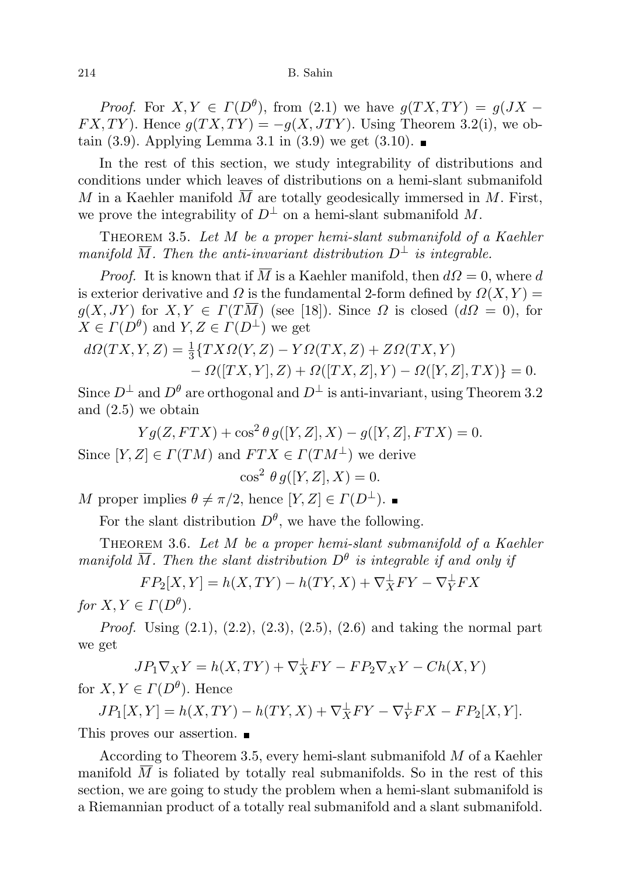*Proof.* For  $X, Y \in \Gamma(D^{\theta})$ , from (2.1) we have  $g(TX, TY) = g(JX FX, TY$ ). Hence  $g(TX, TY) = -g(X, JTY)$ . Using Theorem 3.2(i), we obtain (3.9). Applying Lemma 3.1 in (3.9) we get (3.10).

In the rest of this section, we study integrability of distributions and conditions under which leaves of distributions on a hemi-slant submanifold M in a Kaehler manifold  $\overline{M}$  are totally geodesically immersed in M. First, we prove the integrability of  $D^{\perp}$  on a hemi-slant submanifold M.

Theorem 3.5. Let M be a proper hemi-slant submanifold of a Kaehler manifold  $\overline{M}$ . Then the anti-invariant distribution  $D^{\perp}$  is integrable.

*Proof.* It is known that if  $\overline{M}$  is a Kaehler manifold, then  $d\Omega = 0$ , where d is exterior derivative and  $\Omega$  is the fundamental 2-form defined by  $\Omega(X, Y) =$  $g(X, JY)$  for  $X, Y \in \Gamma(T\overline{M})$  (see [18]). Since  $\Omega$  is closed  $(d\Omega = 0)$ , for  $X \in \Gamma(D^{\theta})$  and  $Y, Z \in \Gamma(D^{\perp})$  we get

$$
d\Omega(TX,Y,Z) = \frac{1}{3} \{TX\Omega(Y,Z) - Y\Omega(TX,Z) + Z\Omega(TX,Y) - \Omega([TX,Y],Z) + \Omega([TX,Z],Y) - \Omega([Y,Z],TX) \} = 0.
$$

Since  $D^{\perp}$  and  $D^{\theta}$  are orthogonal and  $D^{\perp}$  is anti-invariant, using Theorem 3.2 and (2.5) we obtain

 $Yg(Z,FTX) + \cos^2 \theta g([Y,Z],X) - g([Y,Z],FTX) = 0.$ Since  $[Y, Z] \in \Gamma(TM)$  and  $FTX \in \Gamma(TM^{\perp})$  we derive

$$
\cos^2 \theta g([Y, Z], X) = 0.
$$

M proper implies  $\theta \neq \pi/2$ , hence  $[Y, Z] \in \Gamma(D^{\perp})$ .

For the slant distribution  $D^{\theta}$ , we have the following.

THEOREM 3.6. Let  $M$  be a proper hemi-slant submanifold of a Kaehler manifold  $\overline{M}$ . Then the slant distribution  $D^{\theta}$  is integrable if and only if

 $FP_2[X, Y] = h(X, TY) - h(TY, X) + \nabla_X^{\perp} FY - \nabla_Y^{\perp} FX$ for  $X, Y \in \Gamma(D^{\theta})$ .

*Proof.* Using  $(2.1)$ ,  $(2.2)$ ,  $(2.3)$ ,  $(2.5)$ ,  $(2.6)$  and taking the normal part we get

$$
JP_1 \nabla_X Y = h(X, TY) + \nabla_X^{\perp} FY - FP_2 \nabla_X Y - Ch(X, Y)
$$
  

$$
Z \subset F(D^{\theta})
$$
 Hence

for  $X, Y \in \Gamma(D^{\theta})$ . Hence

 $JP_1[X,Y] = h(X,TY) - h(TY,X) + \nabla_X^{\perp} FY - \nabla_Y^{\perp} FX - FP_2[X,Y].$ This proves our assertion.

According to Theorem 3.5, every hemi-slant submanifold M of a Kaehler manifold  $M$  is foliated by totally real submanifolds. So in the rest of this section, we are going to study the problem when a hemi-slant submanifold is a Riemannian product of a totally real submanifold and a slant submanifold.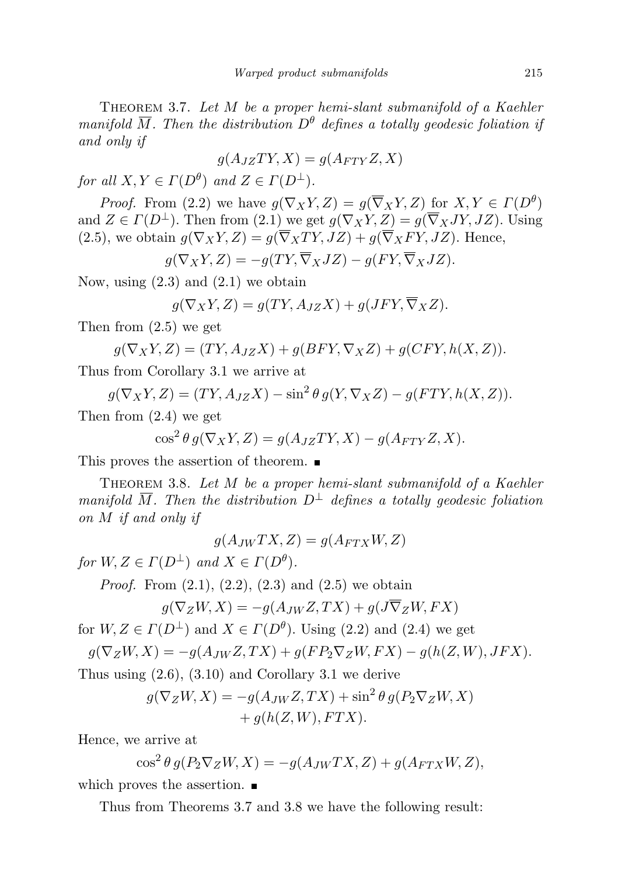THEOREM 3.7. Let  $M$  be a proper hemi-slant submanifold of a Kaehler manifold  $\overline{M}$ . Then the distribution  $D^{\theta}$  defines a totally geodesic foliation if and only if

$$
g(A_{JZ}TY, X) = g(A_{FTY}Z, X)
$$

for all  $X, Y \in \Gamma(D^{\theta})$  and  $Z \in \Gamma(D^{\perp})$ .

*Proof.* From (2.2) we have  $g(\nabla_X Y, Z) = g(\overline{\nabla}_X Y, Z)$  for  $X, Y \in \Gamma(D^{\theta})$ and  $Z \in \Gamma(D^{\perp})$ . Then from (2.1) we get  $g(\nabla_X Y, Z) = g(\overline{\nabla}_X JY, JZ)$ . Using (2.5), we obtain  $g(\nabla_X Y, Z) = g(\overline{\nabla}_X TY, JZ) + g(\overline{\nabla}_X FY, JZ)$ . Hence,

$$
g(\nabla_X Y, Z) = -g(TY, \overline{\nabla}_X JZ) - g(FY, \overline{\nabla}_X JZ).
$$

Now, using  $(2.3)$  and  $(2.1)$  we obtain

$$
g(\nabla_X Y, Z) = g(TY, A_{JZ}X) + g(JFY, \overline{\nabla}_X Z).
$$

Then from (2.5) we get

$$
g(\nabla_X Y, Z) = (TY, A_{JZ} X) + g(BFY, \nabla_X Z) + g(CFY, h(X, Z)).
$$

Thus from Corollary 3.1 we arrive at

$$
g(\nabla_X Y, Z) = (TY, A_{JZ} X) - \sin^2 \theta g(Y, \nabla_X Z) - g(FTY, h(X, Z)).
$$

Then from (2.4) we get

$$
\cos^2 \theta \, g(\nabla_X Y, Z) = g(A_{JZ} TY, X) - g(A_{FTY} Z, X).
$$

This proves the assertion of theorem.  $\blacksquare$ 

THEOREM 3.8. Let M be a proper hemi-slant submanifold of a Kaehler manifold  $\overline{M}$ . Then the distribution  $D^{\perp}$  defines a totally geodesic foliation on M if and only if

$$
g(A_{JW}TX, Z) = g(A_{FTX}W, Z)
$$

for  $W, Z \in \Gamma(D^{\perp})$  and  $X \in \Gamma(D^{\theta})$ .

*Proof.* From  $(2.1)$ ,  $(2.2)$ ,  $(2.3)$  and  $(2.5)$  we obtain

$$
g(\nabla_Z W, X) = -g(A_{JW} Z, TX) + g(J\overline{\nabla}_Z W, FX)
$$

for  $W, Z \in \Gamma(D^{\perp})$  and  $X \in \Gamma(D^{\theta})$ . Using (2.2) and (2.4) we get

$$
g(\nabla_Z W, X) = -g(A_{JW} Z, TX) + g(F P_2 \nabla_Z W, FX) - g(h(Z, W), JFK).
$$

Thus using  $(2.6)$ ,  $(3.10)$  and Corollary 3.1 we derive

$$
g(\nabla_Z W, X) = -g(A_{JW} Z, TX) + \sin^2 \theta g(P_2 \nabla_Z W, X) + g(h(Z, W), FTX).
$$

Hence, we arrive at

$$
\cos^2 \theta \, g(P_2 \nabla_Z W, X) = -g(A_{JW} TX, Z) + g(A_{FTX} W, Z),
$$

which proves the assertion.

Thus from Theorems 3.7 and 3.8 we have the following result: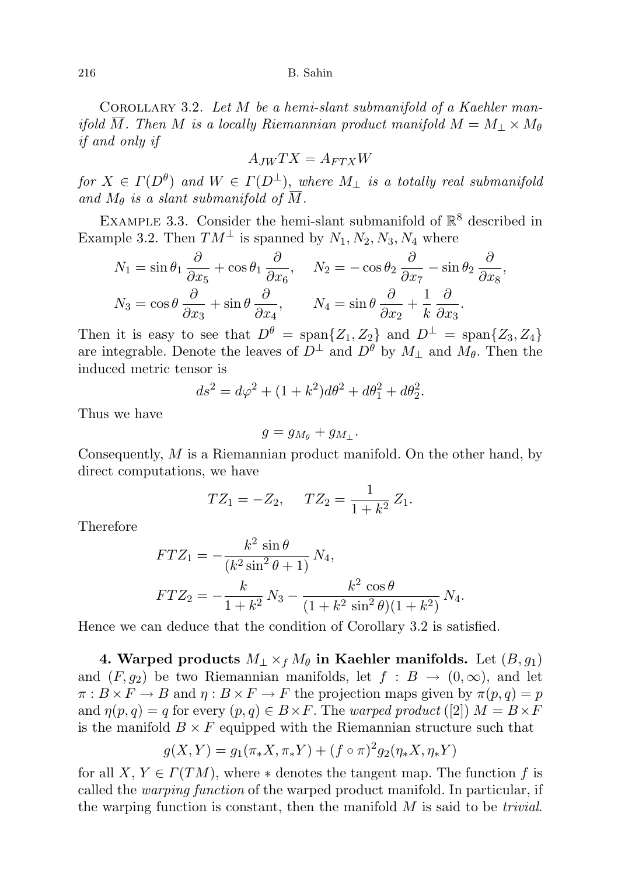216 B. Sahin

COROLLARY 3.2. Let  $M$  be a hemi-slant submanifold of a Kaehler manifold  $\overline{M}$ . Then M is a locally Riemannian product manifold  $M = M_{\perp} \times M_{\theta}$ if and only if

$$
A_{JW}TX = A_{FTX}W
$$

for  $X \in \Gamma(D^{\theta})$  and  $W \in \Gamma(D^{\perp}),$  where  $M_{\perp}$  is a totally real submanifold and  $M_{\theta}$  is a slant submanifold of  $\overline{M}$ .

EXAMPLE 3.3. Consider the hemi-slant submanifold of  $\mathbb{R}^8$  described in Example 3.2. Then  $TM^{\perp}$  is spanned by  $N_1, N_2, N_3, N_4$  where

$$
N_1 = \sin \theta_1 \frac{\partial}{\partial x_5} + \cos \theta_1 \frac{\partial}{\partial x_6}, \quad N_2 = -\cos \theta_2 \frac{\partial}{\partial x_7} - \sin \theta_2 \frac{\partial}{\partial x_8},
$$
  

$$
N_3 = \cos \theta \frac{\partial}{\partial x_3} + \sin \theta \frac{\partial}{\partial x_4}, \quad N_4 = \sin \theta \frac{\partial}{\partial x_2} + \frac{1}{k} \frac{\partial}{\partial x_3}.
$$

Then it is easy to see that  $D^{\theta} = \text{span}\{Z_1, Z_2\}$  and  $D^{\perp} = \text{span}\{Z_3, Z_4\}$ are integrable. Denote the leaves of  $D^{\perp}$  and  $D^{\theta}$  by  $M_{\perp}$  and  $M_{\theta}$ . Then the induced metric tensor is

$$
ds^{2} = d\varphi^{2} + (1 + k^{2})d\theta^{2} + d\theta_{1}^{2} + d\theta_{2}^{2}.
$$

Thus we have

$$
g = g_{M_{\theta}} + g_{M_{\perp}}.
$$

Consequently, M is a Riemannian product manifold. On the other hand, by direct computations, we have

$$
TZ_1 = -Z_2, \quad TZ_2 = \frac{1}{1+k^2}Z_1.
$$

Therefore

$$
FTZ_1 = -\frac{k^2 \sin \theta}{(k^2 \sin^2 \theta + 1)} N_4,
$$
  

$$
FTZ_2 = -\frac{k}{1 + k^2} N_3 - \frac{k^2 \cos \theta}{(1 + k^2 \sin^2 \theta)(1 + k^2)} N_4.
$$

Hence we can deduce that the condition of Corollary 3.2 is satisfied.

4. Warped products  $M_{\perp} \times_f M_{\theta}$  in Kaehler manifolds. Let  $(B, g_1)$ and  $(F, g_2)$  be two Riemannian manifolds, let  $f : B \to (0, \infty)$ , and let  $\pi : B \times F \to B$  and  $\eta : B \times F \to F$  the projection maps given by  $\pi(p,q) = p$ and  $\eta(p,q) = q$  for every  $(p,q) \in B \times F$ . The warped product ([2])  $M = B \times F$ is the manifold  $B \times F$  equipped with the Riemannian structure such that

$$
g(X,Y) = g_1(\pi_* X, \pi_* Y) + (f \circ \pi)^2 g_2(\eta_* X, \eta_* Y)
$$

for all X,  $Y \in \Gamma(TM)$ , where  $*$  denotes the tangent map. The function f is called the warping function of the warped product manifold. In particular, if the warping function is constant, then the manifold  $M$  is said to be *trivial*.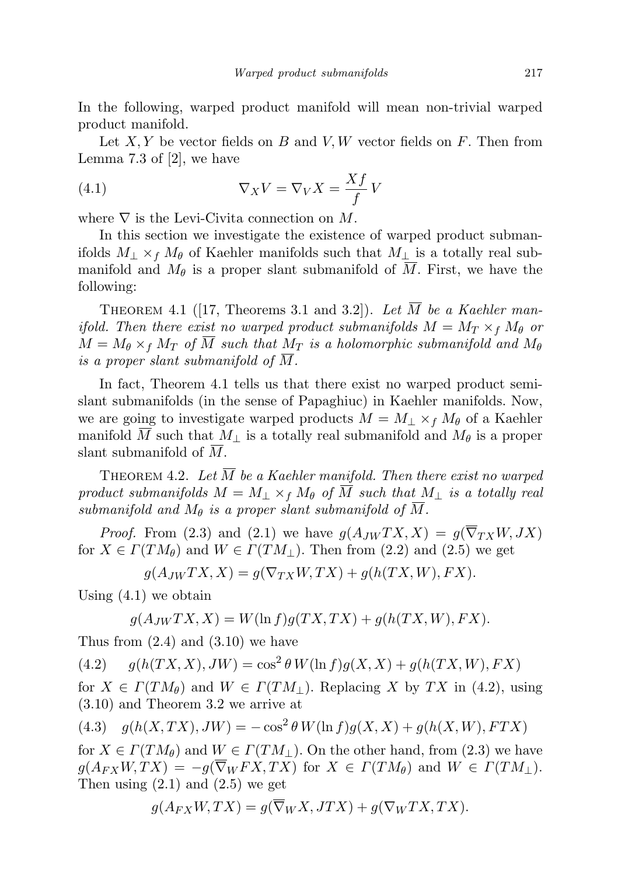In the following, warped product manifold will mean non-trivial warped product manifold.

Let  $X, Y$  be vector fields on B and V, W vector fields on F. Then from Lemma 7.3 of [2], we have

(4.1) 
$$
\nabla_X V = \nabla_V X = \frac{Xf}{f} V
$$

where  $\nabla$  is the Levi-Civita connection on M.

In this section we investigate the existence of warped product submanifolds  $M_{\perp} \times_f M_{\theta}$  of Kaehler manifolds such that  $M_{\perp}$  is a totally real submanifold and  $M_{\theta}$  is a proper slant submanifold of M. First, we have the following:

THEOREM 4.1 ([17, Theorems 3.1 and 3.2]). Let  $\overline{M}$  be a Kaehler manifold. Then there exist no warped product submanifolds  $M = M_T \times_f M_\theta$  or  $M = M_{\theta} \times_f M_T$  of  $\overline{M}$  such that  $M_T$  is a holomorphic submanifold and  $M_{\theta}$ is a proper slant submanifold of M.

In fact, Theorem 4.1 tells us that there exist no warped product semislant submanifolds (in the sense of Papaghiuc) in Kaehler manifolds. Now, we are going to investigate warped products  $M = M_{\perp} \times_f M_{\theta}$  of a Kaehler manifold M such that  $M_{\perp}$  is a totally real submanifold and  $M_{\theta}$  is a proper slant submanifold of M.

THEOREM 4.2. Let  $\overline{M}$  be a Kaehler manifold. Then there exist no warped product submanifolds  $M = M_+ \times_f M_\theta$  of  $\overline{M}$  such that  $M_+$  is a totally real submanifold and  $M_{\theta}$  is a proper slant submanifold of M.

*Proof.* From (2.3) and (2.1) we have  $g(A_{JW}TX, X) = g(\overline{\nabla}_{TX}W, JX)$ for  $X \in \Gamma(TM_\theta)$  and  $W \in \Gamma(TM_\perp)$ . Then from (2.2) and (2.5) we get

$$
g(A_{JW}TX, X) = g(\nabla_{TX}W, TX) + g(h(TX, W), FX).
$$

Using  $(4.1)$  we obtain

$$
g(A_{JW}TX, X) = W(\ln f)g(TX, TX) + g(h(TX, W), FX).
$$

Thus from  $(2.4)$  and  $(3.10)$  we have

(4.2)  $g(h(TX, X), JW) = \cos^2 \theta W(\ln f)g(X, X) + g(h(TX, W), FX)$ 

for  $X \in \Gamma(TM_\theta)$  and  $W \in \Gamma(TM_\perp)$ . Replacing X by TX in (4.2), using (3.10) and Theorem 3.2 we arrive at

$$
(4.3) \quad g(h(X,TX),JW) = -\cos^2\theta W(\ln f)g(X,X) + g(h(X,W),FTX)
$$

for  $X \in \Gamma(TM_\theta)$  and  $W \in \Gamma(TM_\perp)$ . On the other hand, from (2.3) we have  $g(A_{FX}W, TX) = -g(\overline{\nabla}_W FX, TX)$  for  $X \in \Gamma(TM_\theta)$  and  $W \in \Gamma(TM_\perp)$ . Then using  $(2.1)$  and  $(2.5)$  we get

$$
g(A_{FX}W,TX) = g(\overline{\nabla}_W X, JTX) + g(\nabla_W TX,TX).
$$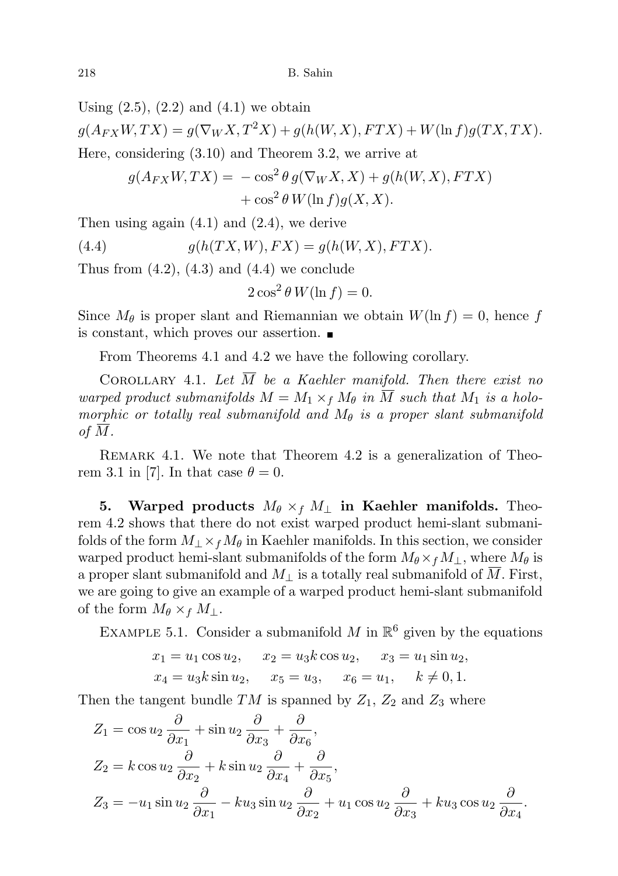Using  $(2.5)$ ,  $(2.2)$  and  $(4.1)$  we obtain

 $g(A_{FX}W, TX) = g(\nabla_W X, T^2 X) + g(h(W, X), FTX) + W(\ln f)g(TX, TX).$ Here, considering (3.10) and Theorem 3.2, we arrive at

$$
g(A_{FX}W,TX) = -\cos^2\theta g(\nabla_W X, X) + g(h(W, X), FTX) + \cos^2\theta W(\ln f)g(X, X).
$$

Then using again (4.1) and (2.4), we derive

(4.4) 
$$
g(h(TX,W), FX) = g(h(W,X),FTX).
$$

Thus from  $(4.2)$ ,  $(4.3)$  and  $(4.4)$  we conclude

$$
2\cos^2\theta W(\ln f) = 0.
$$

Since  $M_\theta$  is proper slant and Riemannian we obtain  $W(\ln f) = 0$ , hence f is constant, which proves our assertion.

From Theorems 4.1 and 4.2 we have the following corollary.

COROLLARY 4.1. Let  $\overline{M}$  be a Kaehler manifold. Then there exist no warped product submanifolds  $M = M_1 \times_f M_\theta$  in  $\overline{M}$  such that  $M_1$  is a holomorphic or totally real submanifold and  $M_{\theta}$  is a proper slant submanifold of  $\overline{M}$ .

REMARK 4.1. We note that Theorem 4.2 is a generalization of Theorem 3.1 in [7]. In that case  $\theta = 0$ .

5. Warped products  $M_{\theta} \times_f M_{\perp}$  in Kaehler manifolds. Theorem 4.2 shows that there do not exist warped product hemi-slant submanifolds of the form  $M_1 \times_f M_\theta$  in Kaehler manifolds. In this section, we consider warped product hemi-slant submanifolds of the form  $M_{\theta} \times_f M_{\perp}$ , where  $M_{\theta}$  is a proper slant submanifold and  $M_{\perp}$  is a totally real submanifold of M. First, we are going to give an example of a warped product hemi-slant submanifold of the form  $M_{\theta} \times_f M_{\perp}$ .

EXAMPLE 5.1. Consider a submanifold M in  $\mathbb{R}^6$  given by the equations

$$
x_1 = u_1 \cos u_2
$$
,  $x_2 = u_3 k \cos u_2$ ,  $x_3 = u_1 \sin u_2$ ,  
\n $x_4 = u_3 k \sin u_2$ ,  $x_5 = u_3$ ,  $x_6 = u_1$ ,  $k \neq 0, 1$ .

Then the tangent bundle  $TM$  is spanned by  $Z_1$ ,  $Z_2$  and  $Z_3$  where

$$
Z_1 = \cos u_2 \frac{\partial}{\partial x_1} + \sin u_2 \frac{\partial}{\partial x_3} + \frac{\partial}{\partial x_6},
$$
  
\n
$$
Z_2 = k \cos u_2 \frac{\partial}{\partial x_2} + k \sin u_2 \frac{\partial}{\partial x_4} + \frac{\partial}{\partial x_5},
$$
  
\n
$$
Z_3 = -u_1 \sin u_2 \frac{\partial}{\partial x_1} - ku_3 \sin u_2 \frac{\partial}{\partial x_2} + u_1 \cos u_2 \frac{\partial}{\partial x_3} + ku_3 \cos u_2 \frac{\partial}{\partial x_4}.
$$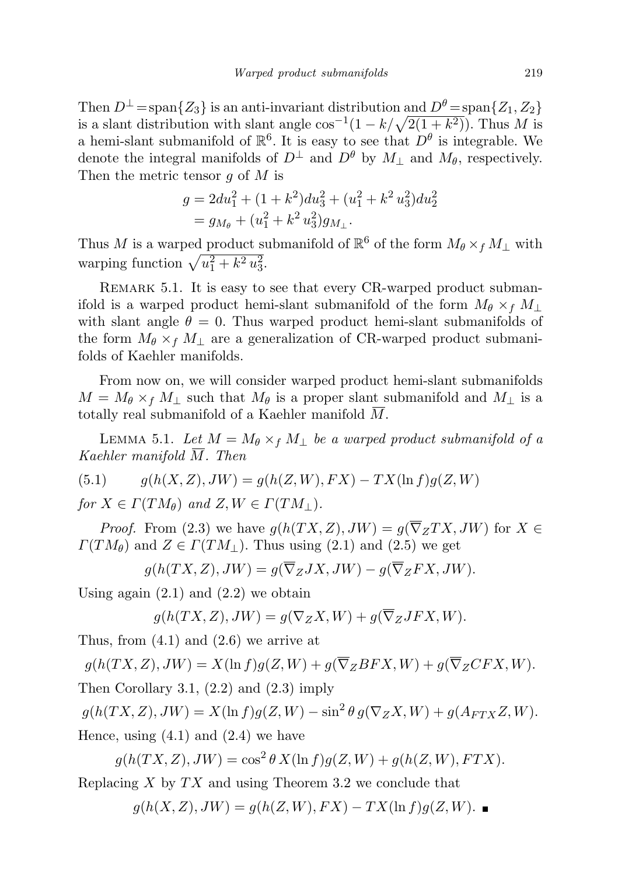Then  $D^{\perp}$  = span $\{Z_3\}$  is an anti-invariant distribution and  $D^{\theta}$  = span $\{Z_1, Z_2\}$ is a slant distribution with slant angle  $\cos^{-1}(1 - k/\sqrt{2(1 + k^2)})$ . Thus M is a hemi-slant submanifold of  $\mathbb{R}^6$ . It is easy to see that  $D^{\theta}$  is integrable. We denote the integral manifolds of  $D^{\perp}$  and  $D^{\theta}$  by  $M_{\perp}$  and  $M_{\theta}$ , respectively. Then the metric tensor  $q$  of  $M$  is

$$
g = 2du_1^2 + (1 + k^2)du_3^2 + (u_1^2 + k^2 u_3^2)du_2^2
$$
  
=  $g_{M_\theta} + (u_1^2 + k^2 u_3^2)g_{M_\perp}.$ 

Thus M is a warped product submanifold of  $\mathbb{R}^6$  of the form  $M_\theta \times_f M_\perp$  with warping function  $\sqrt{u_1^2 + k^2 u_3^2}$ .

REMARK 5.1. It is easy to see that every CR-warped product submanifold is a warped product hemi-slant submanifold of the form  $M_{\theta} \times_f M_{\perp}$ with slant angle  $\theta = 0$ . Thus warped product hemi-slant submanifolds of the form  $M_{\theta} \times_f M_{\perp}$  are a generalization of CR-warped product submanifolds of Kaehler manifolds.

From now on, we will consider warped product hemi-slant submanifolds  $M = M_{\theta} \times_f M_{\perp}$  such that  $M_{\theta}$  is a proper slant submanifold and  $M_{\perp}$  is a totally real submanifold of a Kaehler manifold M.

LEMMA 5.1. Let  $M = M_{\theta} \times_f M_{\perp}$  be a warped product submanifold of a Kaehler manifold  $\overline{M}$ . Then

(5.1) 
$$
g(h(X, Z), JW) = g(h(Z, W), FX) - TX(\ln f)g(Z, W)
$$

for  $X \in \Gamma(TM_\theta)$  and  $Z, W \in \Gamma(TM_\perp)$ .

*Proof.* From (2.3) we have  $q(h(TX, Z), JW) = q(\overline{\nabla}_Z TX, JW)$  for  $X \in$  $\Gamma(TM_{\theta})$  and  $Z \in \Gamma(TM_{\perp})$ . Thus using (2.1) and (2.5) we get

$$
g(h(TX, Z), JW) = g(\overline{\nabla}_Z JX, JW) - g(\overline{\nabla}_Z FX, JW).
$$

Using again  $(2.1)$  and  $(2.2)$  we obtain

$$
g(h(TX, Z), JW) = g(\nabla_Z X, W) + g(\overline{\nabla}_Z JFX, W).
$$

Thus, from  $(4.1)$  and  $(2.6)$  we arrive at

$$
g(h(TX, Z), JW) = X(\ln f)g(Z, W) + g(\overline{\nabla}_Z BFX, W) + g(\overline{\nabla}_Z CFX, W).
$$

Then Corollary 3.1, (2.2) and (2.3) imply

 $g(h(TX, Z), JW) = X(\ln f)g(Z, W) - \sin^2 \theta g(\nabla_Z X, W) + g(A_{FTX}Z, W).$ 

Hence, using  $(4.1)$  and  $(2.4)$  we have

 $g(h(TX, Z), JW) = \cos^2 \theta X(\ln f)g(Z, W) + g(h(Z, W), FTX).$ 

Replacing  $X$  by  $TX$  and using Theorem 3.2 we conclude that

$$
g(h(X, Z), JW) = g(h(Z, W), FX) - TX(\ln f)g(Z, W).
$$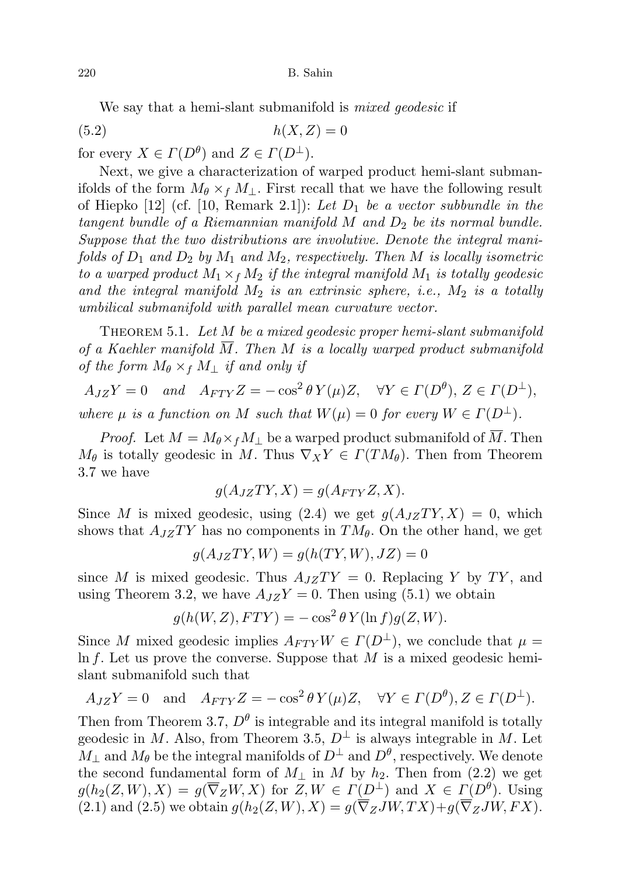We say that a hemi-slant submanifold is *mixed geodesic* if

$$
(5.2) \t\t\t h(X,Z) = 0
$$

for every  $X \in \Gamma(D^{\theta})$  and  $Z \in \Gamma(D^{\perp})$ .

Next, we give a characterization of warped product hemi-slant submanifolds of the form  $M_{\theta} \times_f M_{\perp}$ . First recall that we have the following result of Hiepko  $[12]$  (cf.  $[10,$  Remark 2.1]): Let  $D_1$  be a vector subbundle in the tangent bundle of a Riemannian manifold  $M$  and  $D_2$  be its normal bundle. Suppose that the two distributions are involutive. Denote the integral manifolds of  $D_1$  and  $D_2$  by  $M_1$  and  $M_2$ , respectively. Then M is locally isometric to a warped product  $M_1 \times_f M_2$  if the integral manifold  $M_1$  is totally geodesic and the integral manifold  $M_2$  is an extrinsic sphere, i.e.,  $M_2$  is a totally umbilical submanifold with parallel mean curvature vector.

THEOREM 5.1. Let M be a mixed geodesic proper hemi-slant submanifold of a Kaehler manifold  $\overline{M}$ . Then M is a locally warped product submanifold of the form  $M_{\theta} \times_f M_{\perp}$  if and only if

 $A_{JZ}Y = 0$  and  $A_{FTY}Z = -\cos^2\theta Y(\mu)Z$ ,  $\forall Y \in \Gamma(D^{\theta})$ ,  $Z \in \Gamma(D^{\perp})$ ,

where  $\mu$  is a function on M such that  $W(\mu) = 0$  for every  $W \in \Gamma(D^{\perp}).$ 

*Proof.* Let  $M = M_{\theta} \times_f M_{\perp}$  be a warped product submanifold of M. Then  $M_{\theta}$  is totally geodesic in M. Thus  $\nabla_X Y \in \Gamma(TM_{\theta})$ . Then from Theorem 3.7 we have

$$
g(A_{JZ}TY, X) = g(A_{FTY}Z, X).
$$

Since M is mixed geodesic, using  $(2.4)$  we get  $q(A_{JZ}TY, X) = 0$ , which shows that  $A_{JZ}TY$  has no components in  $TM_{\theta}$ . On the other hand, we get

$$
g(A_{JZ}TY,W) = g(h(TY,W),JZ) = 0
$$

since M is mixed geodesic. Thus  $A_{JZ}TY = 0$ . Replacing Y by TY, and using Theorem 3.2, we have  $A_{JZ}Y = 0$ . Then using (5.1) we obtain

$$
g(h(W, Z), FTY) = -\cos^2 \theta Y(\ln f)g(Z, W).
$$

Since M mixed geodesic implies  $A_{FTY}W \in \Gamma(D^{\perp})$ , we conclude that  $\mu =$ In f. Let us prove the converse. Suppose that  $M$  is a mixed geodesic hemislant submanifold such that

$$
A_{JZ}Y = 0
$$
 and  $A_{FTY}Z = -\cos^2 \theta Y(\mu)Z$ ,  $\forall Y \in \Gamma(D^{\theta}), Z \in \Gamma(D^{\perp}).$ 

Then from Theorem 3.7,  $D^{\theta}$  is integrable and its integral manifold is totally geodesic in M. Also, from Theorem 3.5,  $D^{\perp}$  is always integrable in M. Let  $M_{\perp}$  and  $M_{\theta}$  be the integral manifolds of  $D^{\perp}$  and  $D^{\theta}$ , respectively. We denote the second fundamental form of  $M_{\perp}$  in M by  $h_2$ . Then from (2.2) we get  $g(h_2(Z,W), X) = g(\overline{\nabla}_Z W, X)$  for  $Z, W \in \Gamma(D^{\perp})$  and  $X \in \Gamma(D^{\theta})$ . Using (2.1) and (2.5) we obtain  $g(h_2(Z, W), X) = g(\overline{\nabla}_Z JW, TX) + g(\overline{\nabla}_Z JW, FX).$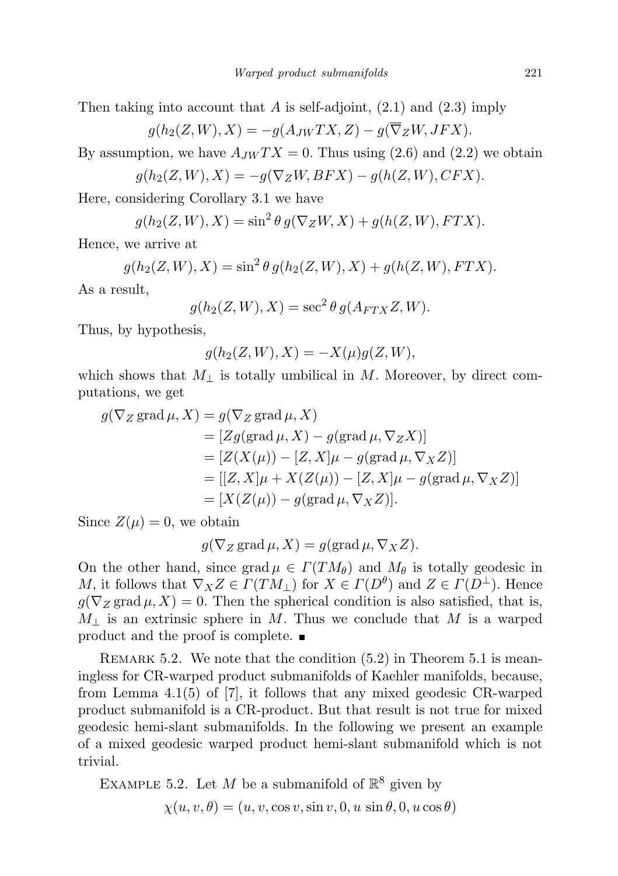Then taking into account that A is self-adjoint,  $(2.1)$  and  $(2.3)$  imply

$$
g(h_2(Z,W),X) = -g(A_{JW}TX,Z) - g(\overline{\nabla}_Z W, JFK).
$$

By assumption, we have  $A_{JW}TX = 0$ . Thus using (2.6) and (2.2) we obtain

$$
g(h_2(Z,W),X) = -g(\nabla_Z W,BFX) - g(h(Z,W),CFX).
$$

Here, considering Corollary 3.1 we have

$$
g(h_2(Z,W),X) = \sin^2 \theta g(\nabla_Z W, X) + g(h(Z,W), FTX).
$$

Hence, we arrive at

$$
g(h_2(Z, W), X) = \sin^2 \theta \, g(h_2(Z, W), X) + g(h(Z, W), FTX).
$$

As a result,

$$
g(h_2(Z, W), X) = \sec^2 \theta g(A_{FTX}Z, W).
$$

Thus, by hypothesis,

$$
g(h_2(Z, W), X) = -X(\mu)g(Z, W),
$$

which shows that  $M_{\perp}$  is totally umbilical in M. Moreover, by direct computations, we get

$$
g(\nabla_Z \operatorname{grad} \mu, X) = g(\nabla_Z \operatorname{grad} \mu, X)
$$
  
\n
$$
= [Zg(\operatorname{grad} \mu, X) - g(\operatorname{grad} \mu, \nabla_Z X)]
$$
  
\n
$$
= [Z(X(\mu)) - [Z, X] \mu - g(\operatorname{grad} \mu, \nabla_X Z)]
$$
  
\n
$$
= [[Z, X] \mu + X(Z(\mu)) - [Z, X] \mu - g(\operatorname{grad} \mu, \nabla_X Z)]
$$
  
\n
$$
= [X(Z(\mu)) - g(\operatorname{grad} \mu, \nabla_X Z)].
$$

Since  $Z(\mu) = 0$ , we obtain

$$
g(\nabla_Z \operatorname{grad} \mu, X) = g(\operatorname{grad} \mu, \nabla_X Z).
$$

On the other hand, since grad  $\mu \in \Gamma(TM_{\theta})$  and  $M_{\theta}$  is totally geodesic in M, it follows that  $\nabla_X Z \in \Gamma(TM_\perp)$  for  $X \in \Gamma(D^\theta)$  and  $Z \in \Gamma(D^\perp)$ . Hence  $g(\nabla_Z \text{grad }\mu, X) = 0$ . Then the spherical condition is also satisfied, that is,  $M_{\perp}$  is an extrinsic sphere in M. Thus we conclude that M is a warped product and the proof is complete.

REMARK 5.2. We note that the condition  $(5.2)$  in Theorem 5.1 is meaningless for CR-warped product submanifolds of Kaehler manifolds, because, from Lemma 4.1(5) of [7], it follows that any mixed geodesic CR-warped product submanifold is a CR-product. But that result is not true for mixed geodesic hemi-slant submanifolds. In the following we present an example of a mixed geodesic warped product hemi-slant submanifold which is not trivial.

EXAMPLE 5.2. Let M be a submanifold of  $\mathbb{R}^8$  given by  $\chi(u, v, \theta) = (u, v, \cos v, \sin v, 0, u \sin \theta, 0, u \cos \theta)$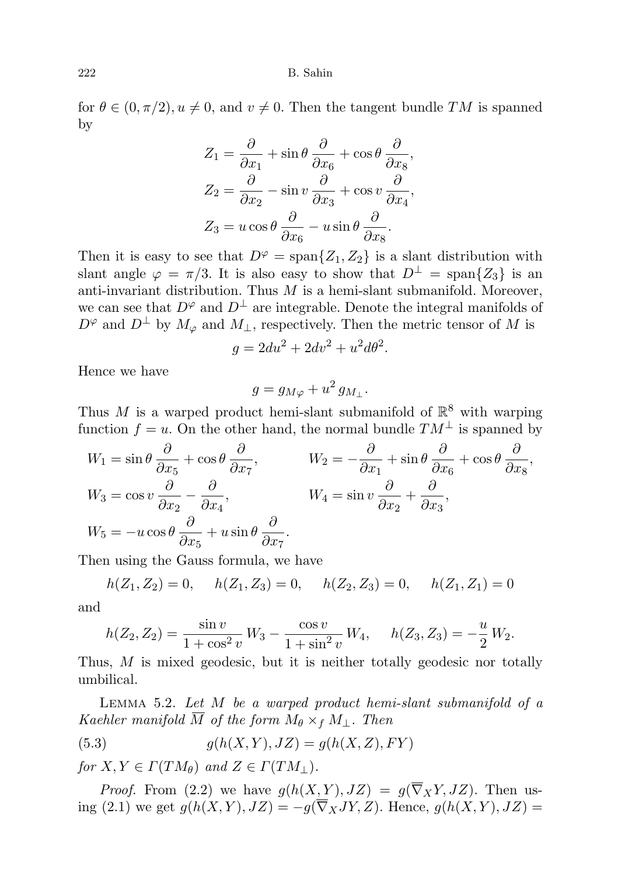### 222 B. Sahin

for  $\theta \in (0, \pi/2), u \neq 0$ , and  $v \neq 0$ . Then the tangent bundle TM is spanned by

$$
Z_1 = \frac{\partial}{\partial x_1} + \sin \theta \frac{\partial}{\partial x_6} + \cos \theta \frac{\partial}{\partial x_8},
$$
  
\n
$$
Z_2 = \frac{\partial}{\partial x_2} - \sin v \frac{\partial}{\partial x_3} + \cos v \frac{\partial}{\partial x_4},
$$
  
\n
$$
Z_3 = u \cos \theta \frac{\partial}{\partial x_6} - u \sin \theta \frac{\partial}{\partial x_8}.
$$

Then it is easy to see that  $D^{\varphi} = \text{span}\{Z_1, Z_2\}$  is a slant distribution with slant angle  $\varphi = \pi/3$ . It is also easy to show that  $D^{\perp} = \text{span}\{Z_3\}$  is an anti-invariant distribution. Thus  $M$  is a hemi-slant submanifold. Moreover, we can see that  $D^{\varphi}$  and  $D^{\perp}$  are integrable. Denote the integral manifolds of  $D^{\varphi}$  and  $D^{\perp}$  by  $M_{\varphi}$  and  $M_{\perp}$ , respectively. Then the metric tensor of M is

$$
g = 2du^2 + 2dv^2 + u^2d\theta^2.
$$

Hence we have

$$
g = g_{M\varphi} + u^2 g_{M_\perp}.
$$

Thus M is a warped product hemi-slant submanifold of  $\mathbb{R}^8$  with warping function  $f = u$ . On the other hand, the normal bundle  $TM^{\perp}$  is spanned by

$$
W_1 = \sin \theta \frac{\partial}{\partial x_5} + \cos \theta \frac{\partial}{\partial x_7}, \qquad W_2 = -\frac{\partial}{\partial x_1} + \sin \theta \frac{\partial}{\partial x_6} + \cos \theta \frac{\partial}{\partial x_8},
$$
  
\n
$$
W_3 = \cos v \frac{\partial}{\partial x_2} - \frac{\partial}{\partial x_4}, \qquad W_4 = \sin v \frac{\partial}{\partial x_2} + \frac{\partial}{\partial x_3},
$$
  
\n
$$
W_5 = -u \cos \theta \frac{\partial}{\partial x_5} + u \sin \theta \frac{\partial}{\partial x_7}.
$$

Then using the Gauss formula, we have

$$
h(Z_1, Z_2) = 0
$$
,  $h(Z_1, Z_3) = 0$ ,  $h(Z_2, Z_3) = 0$ ,  $h(Z_1, Z_1) = 0$ 

and

$$
h(Z_2, Z_2) = \frac{\sin v}{1 + \cos^2 v} W_3 - \frac{\cos v}{1 + \sin^2 v} W_4, \quad h(Z_3, Z_3) = -\frac{u}{2} W_2.
$$

Thus, M is mixed geodesic, but it is neither totally geodesic nor totally umbilical.

LEMMA 5.2. Let  $M$  be a warped product hemi-slant submanifold of a Kaehler manifold  $\overline{M}$  of the form  $M_{\theta} \times_f M_{\perp}$ . Then

$$
(5.3) \qquad \qquad g(h(X,Y),JZ) = g(h(X,Z),FY)
$$

for  $X, Y \in \Gamma(TM_{\theta})$  and  $Z \in \Gamma(TM_{\perp}).$ 

*Proof.* From (2.2) we have  $g(h(X, Y), JZ) = g(\overline{\nabla}_X Y, JZ)$ . Then using (2.1) we get  $g(h(X, Y), JZ) = -g(\overline{\nabla}_X JY, Z)$ . Hence,  $g(h(X, Y), JZ) =$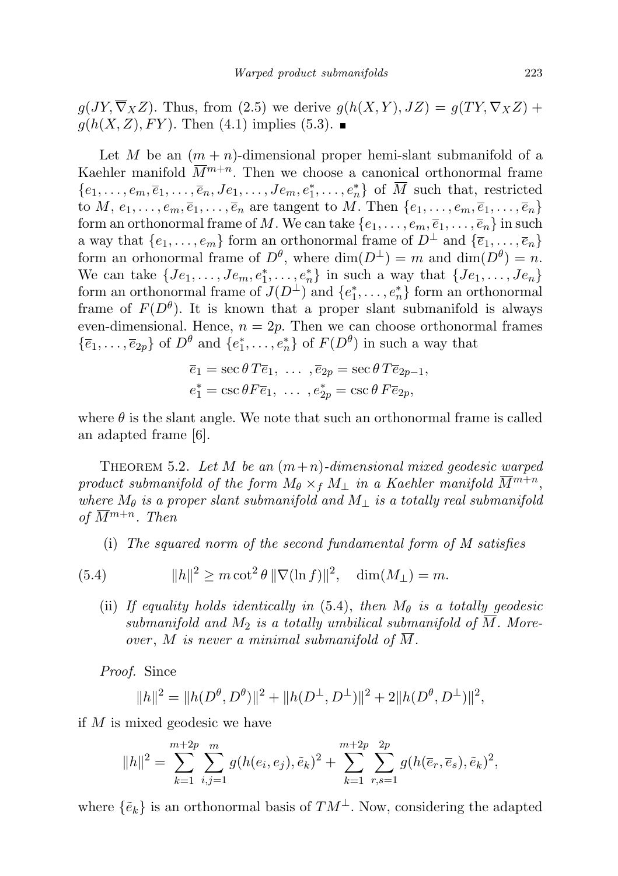$g(JY, \overline{\nabla}_X Z)$ . Thus, from (2.5) we derive  $g(h(X, Y), JZ) = g(TY, \nabla_X Z) +$  $g(h(X, Z), FY)$ . Then (4.1) implies (5.3).

Let M be an  $(m + n)$ -dimensional proper hemi-slant submanifold of a Kaehler manifold  $\overline{M}^{m+n}$ . Then we choose a canonical orthonormal frame  $\{e_1,\ldots,e_m,\overline{e}_1,\ldots,\overline{e}_n,Je_1,\ldots,Je_m,e_1^*,\ldots,e_n^*\}$  of  $\overline{M}$  such that, restricted to M,  $e_1, \ldots, e_m, \overline{e}_1, \ldots, \overline{e}_n$  are tangent to M. Then  $\{e_1, \ldots, e_m, \overline{e}_1, \ldots, \overline{e}_n\}$ form an orthonormal frame of M. We can take  $\{e_1, \ldots, e_m, \overline{e}_1, \ldots, \overline{e}_n\}$  in such a way that  $\{e_1, \ldots, e_m\}$  form an orthonormal frame of  $D^{\perp}$  and  $\{\overline{e}_1, \ldots, \overline{e}_n\}$ form an orhonormal frame of  $D^{\theta}$ , where  $\dim(D^{\perp}) = m$  and  $\dim(D^{\theta}) = n$ . We can take  $\{Je_1, \ldots, Je_m, e_1^*, \ldots, e_n^*\}$  in such a way that  $\{Je_1, \ldots, Je_n\}$ form an orthonormal frame of  $J(D^{\perp})$  and  $\{e_1^*, \ldots, e_n^*\}$  form an orthonormal frame of  $F(D^{\theta})$ . It is known that a proper slant submanifold is always even-dimensional. Hence,  $n = 2p$ . Then we can choose orthonormal frames  $\{\bar{e}_1,\ldots,\bar{e}_{2p}\}\$  of  $D^{\theta}$  and  $\{e_1^*,\ldots,e_n^*\}\$  of  $F(D^{\theta})$  in such a way that

$$
\overline{e}_1 = \sec \theta T \overline{e}_1, \ldots, \overline{e}_{2p} = \sec \theta T \overline{e}_{2p-1}, \n e_1^* = \csc \theta F \overline{e}_1, \ldots, e_{2p}^* = \csc \theta F \overline{e}_{2p},
$$

where  $\theta$  is the slant angle. We note that such an orthonormal frame is called an adapted frame [6].

THEOREM 5.2. Let M be an  $(m+n)$ -dimensional mixed geodesic warped product submanifold of the form  $M_{\theta} \times_f M_{\perp}$  in a Kaehler manifold  $\overline{M}^{m+n}$ , where  $M_{\theta}$  is a proper slant submanifold and  $M_{\perp}$  is a totally real submanifold of  $\overline{M}^{m+n}$ . Then

(i) The squared norm of the second fundamental form of M satisfies

(5.4) 
$$
||h||^2 \ge m \cot^2 \theta \, ||\nabla(\ln f)||^2, \quad \dim(M_\perp) = m.
$$

(ii) If equality holds identically in (5.4), then  $M_{\theta}$  is a totally geodesic submanifold and  $M_2$  is a totally umbilical submanifold of  $\overline{M}$ . Moreover,  $M$  is never a minimal submanifold of  $M$ .

Proof. Since

$$
||h||^2 = ||h(D^{\theta}, D^{\theta})||^2 + ||h(D^{\perp}, D^{\perp})||^2 + 2||h(D^{\theta}, D^{\perp})||^2,
$$

if M is mixed geodesic we have

$$
||h||^{2} = \sum_{k=1}^{m+2p} \sum_{i,j=1}^{m} g(h(e_i, e_j), \tilde{e}_k)^{2} + \sum_{k=1}^{m+2p} \sum_{r,s=1}^{2p} g(h(\overline{e}_r, \overline{e}_s), \tilde{e}_k)^{2},
$$

where  $\{\tilde{e}_k\}$  is an orthonormal basis of  $TM^{\perp}$ . Now, considering the adapted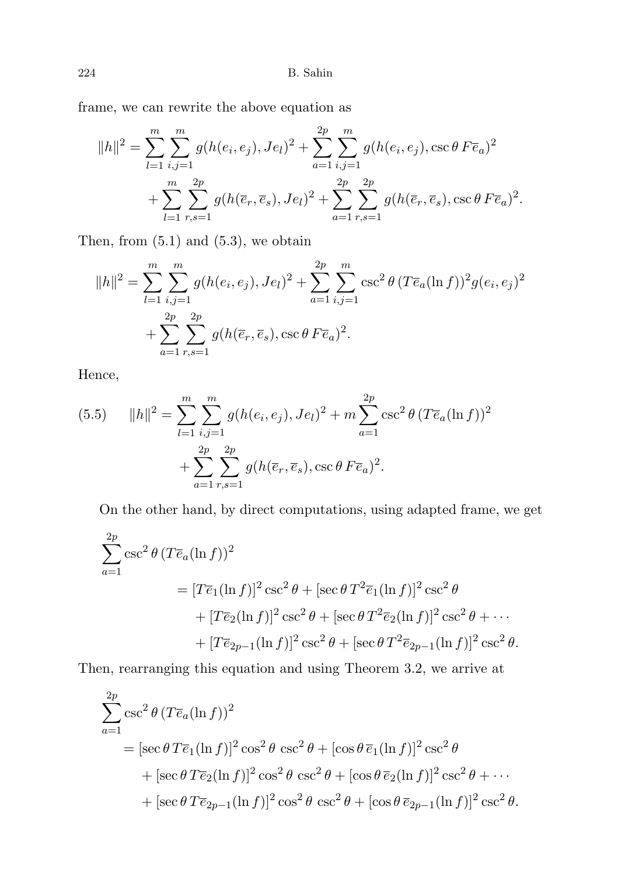frame, we can rewrite the above equation as

$$
||h||^2 = \sum_{l=1}^m \sum_{i,j=1}^m g(h(e_i, e_j), Je_l)^2 + \sum_{a=1}^{2p} \sum_{i,j=1}^m g(h(e_i, e_j), \csc \theta \, F\overline{e}_a)^2
$$
  
+ 
$$
\sum_{l=1}^m \sum_{r,s=1}^{2p} g(h(\overline{e}_r, \overline{e}_s), Je_l)^2 + \sum_{a=1}^{2p} \sum_{r,s=1}^{2p} g(h(\overline{e}_r, \overline{e}_s), \csc \theta \, F\overline{e}_a)^2.
$$

Then, from  $(5.1)$  and  $(5.3)$ , we obtain

$$
||h||^2 = \sum_{l=1}^m \sum_{i,j=1}^m g(h(e_i, e_j), Je_l)^2 + \sum_{a=1}^{2p} \sum_{i,j=1}^m \csc^2 \theta (T \overline{e}_a (\ln f))^2 g(e_i, e_j)^2
$$
  
+ 
$$
\sum_{a=1}^{2p} \sum_{r,s=1}^{2p} g(h(\overline{e}_r, \overline{e}_s), \csc \theta F \overline{e}_a)^2.
$$

Hence,

(5.5) 
$$
||h||^{2} = \sum_{l=1}^{m} \sum_{i,j=1}^{m} g(h(e_{i}, e_{j}), Je_{l})^{2} + m \sum_{a=1}^{2p} \csc^{2} \theta (T \overline{e}_{a}(\ln f))^{2} + \sum_{a=1}^{2p} \sum_{r,s=1}^{2p} g(h(\overline{e}_{r}, \overline{e}_{s}), \csc \theta F \overline{e}_{a})^{2}.
$$

On the other hand, by direct computations, using adapted frame, we get

$$
\sum_{a=1}^{2p} \csc^2 \theta (T \overline{e}_a (\ln f))^2
$$
  
=  $[T \overline{e}_1 (\ln f)]^2 \csc^2 \theta + [\sec \theta T^2 \overline{e}_1 (\ln f)]^2 \csc^2 \theta$   
+  $[T \overline{e}_2 (\ln f)]^2 \csc^2 \theta + [\sec \theta T^2 \overline{e}_2 (\ln f)]^2 \csc^2 \theta + \cdots$   
+  $[T \overline{e}_{2p-1} (\ln f)]^2 \csc^2 \theta + [\sec \theta T^2 \overline{e}_{2p-1} (\ln f)]^2 \csc^2 \theta.$ 

Then, rearranging this equation and using Theorem 3.2, we arrive at

$$
\sum_{a=1}^{2p} \csc^2 \theta (T \overline{e}_a (\ln f))^2
$$
  
=  $[\sec \theta T \overline{e}_1 (\ln f)]^2 \cos^2 \theta \csc^2 \theta + [\cos \theta \overline{e}_1 (\ln f)]^2 \csc^2 \theta$   
+  $[\sec \theta T \overline{e}_2 (\ln f)]^2 \cos^2 \theta \csc^2 \theta + [\cos \theta \overline{e}_2 (\ln f)]^2 \csc^2 \theta + \cdots$   
+  $[\sec \theta T \overline{e}_{2p-1} (\ln f)]^2 \cos^2 \theta \csc^2 \theta + [\cos \theta \overline{e}_{2p-1} (\ln f)]^2 \csc^2 \theta.$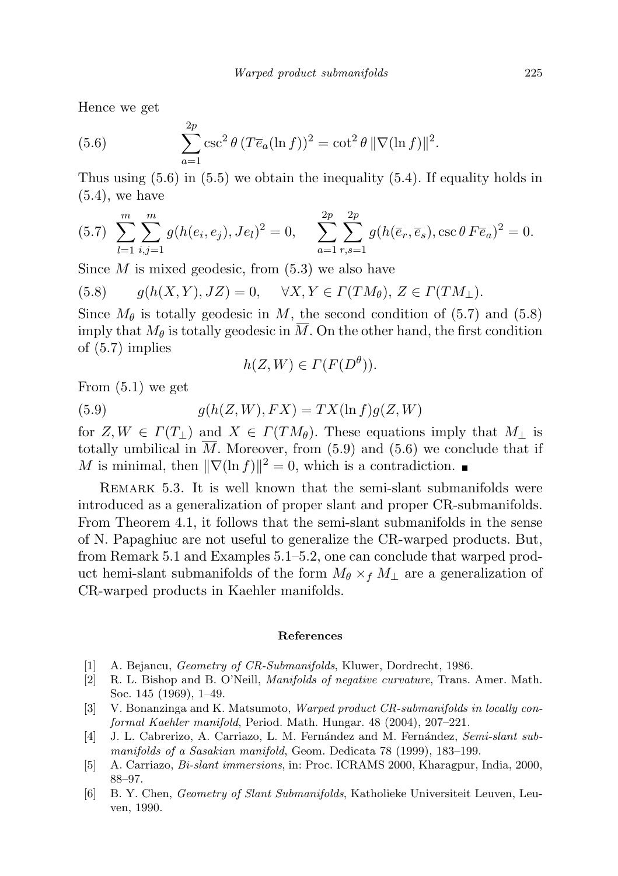Hence we get

(5.6) 
$$
\sum_{a=1}^{2p} \csc^2 \theta (T \overline{e}_a(\ln f))^2 = \cot^2 \theta \|\nabla(\ln f)\|^2.
$$

Thus using (5.6) in (5.5) we obtain the inequality (5.4). If equality holds in  $(5.4)$ , we have

$$
(5.7)\ \sum_{l=1}^{m} \sum_{i,j=1}^{m} g(h(e_i, e_j), Je_l)^2 = 0, \quad \sum_{a=1}^{2p} \sum_{r,s=1}^{2p} g(h(\overline{e}_r, \overline{e}_s), \csc \theta \, F \overline{e}_a)^2 = 0.
$$

Since  $M$  is mixed geodesic, from  $(5.3)$  we also have

(5.8) 
$$
g(h(X,Y),JZ) = 0, \quad \forall X,Y \in \Gamma(TM_{\theta}), Z \in \Gamma(TM_{\perp}).
$$

Since  $M_\theta$  is totally geodesic in M, the second condition of (5.7) and (5.8) imply that  $M_{\theta}$  is totally geodesic in  $\overline{M}$ . On the other hand, the first condition of (5.7) implies

$$
h(Z, W) \in \Gamma(F(D^{\theta})).
$$

From (5.1) we get

(5.9) 
$$
g(h(Z, W), FX) = TX(\ln f)g(Z, W)
$$

for  $Z, W \in \Gamma(T_{\perp})$  and  $X \in \Gamma(TM_{\theta})$ . These equations imply that  $M_{\perp}$  is totally umbilical in  $\overline{M}$ . Moreover, from (5.9) and (5.6) we conclude that if M is minimal, then  $\|\nabla(\ln f)\|^2 = 0$ , which is a contradiction.

REMARK 5.3. It is well known that the semi-slant submanifolds were introduced as a generalization of proper slant and proper CR-submanifolds. From Theorem 4.1, it follows that the semi-slant submanifolds in the sense of N. Papaghiuc are not useful to generalize the CR-warped products. But, from Remark 5.1 and Examples 5.1–5.2, one can conclude that warped product hemi-slant submanifolds of the form  $M_{\theta} \times_f M_{\perp}$  are a generalization of CR-warped products in Kaehler manifolds.

#### References

- [1] A. Bejancu, *Geometry of CR-Submanifolds*, Kluwer, Dordrecht, 1986.
- [2] R. L. Bishop and B. O'Neill, Manifolds of negative curvature, Trans. Amer. Math. Soc. 145 (1969), 1–49.
- [3] V. Bonanzinga and K. Matsumoto, Warped product CR-submanifolds in locally conformal Kaehler manifold, Period. Math. Hungar. 48 (2004), 207–221.
- [4] J. L. Cabrerizo, A. Carriazo, L. M. Fernández and M. Fernández, Semi-slant submanifolds of a Sasakian manifold, Geom. Dedicata 78 (1999), 183–199.
- [5] A. Carriazo, Bi-slant immersions, in: Proc. ICRAMS 2000, Kharagpur, India, 2000, 88–97.
- [6] B. Y. Chen, Geometry of Slant Submanifolds, Katholieke Universiteit Leuven, Leuven, 1990.